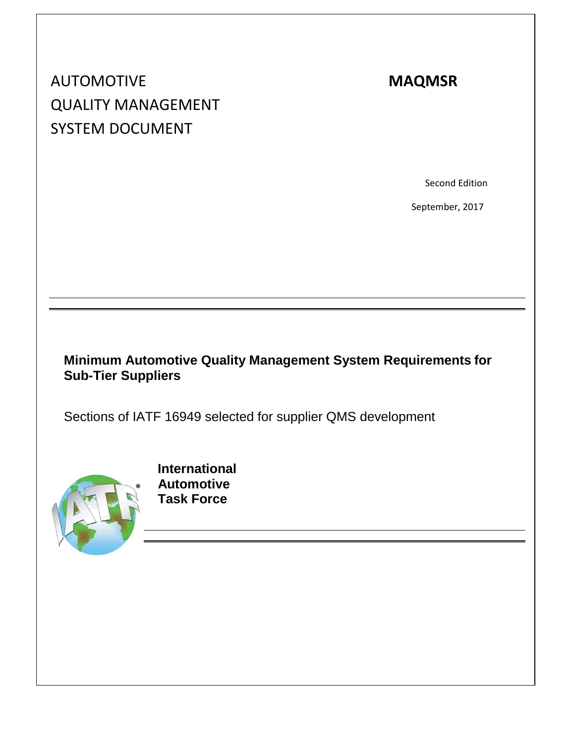# AUTOMOTIVE **MAQMSR** QUALITY MANAGEMENT SYSTEM DOCUMENT

Second Edition

September, 2017

## **Minimum Automotive Quality Management System Requirements for Sub-Tier Suppliers**

Sections of IATF 16949 selected for supplier QMS development



 **International Automotive Task Force**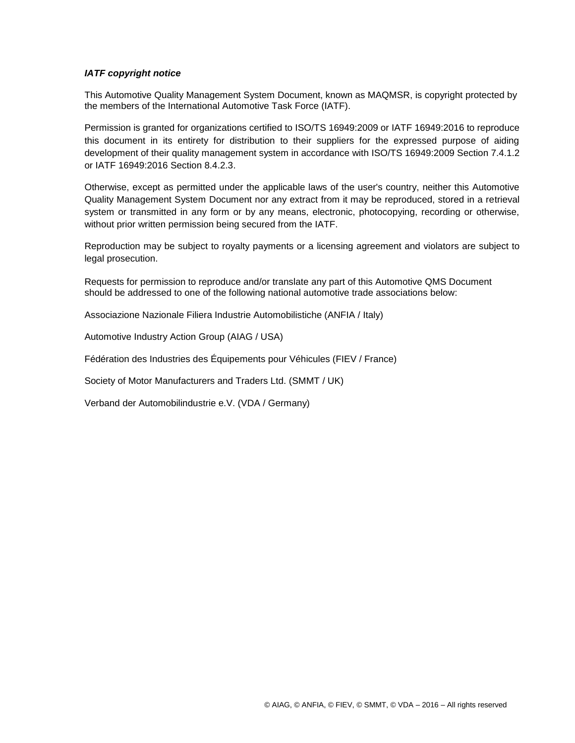#### *IATF copyright notice*

This Automotive Quality Management System Document, known as MAQMSR, is copyright protected by the members of the International Automotive Task Force (IATF).

Permission is granted for organizations certified to ISO/TS 16949:2009 or IATF 16949:2016 to reproduce this document in its entirety for distribution to their suppliers for the expressed purpose of aiding development of their quality management system in accordance with ISO/TS 16949:2009 Section 7.4.1.2 or IATF 16949:2016 Section 8.4.2.3.

Otherwise, except as permitted under the applicable laws of the user's country, neither this Automotive Quality Management System Document nor any extract from it may be reproduced, stored in a retrieval system or transmitted in any form or by any means, electronic, photocopying, recording or otherwise, without prior written permission being secured from the IATF.

Reproduction may be subject to royalty payments or a licensing agreement and violators are subject to legal prosecution.

Requests for permission to reproduce and/or translate any part of this Automotive QMS Document should be addressed to one of the following national automotive trade associations below:

Associazione Nazionale Filiera Industrie Automobilistiche (ANFIA / Italy)

Automotive Industry Action Group (AIAG / USA)

Fédération des Industries des Équipements pour Véhicules (FIEV / France)

Society of Motor Manufacturers and Traders Ltd. (SMMT / UK)

Verband der Automobilindustrie e.V. (VDA / Germany)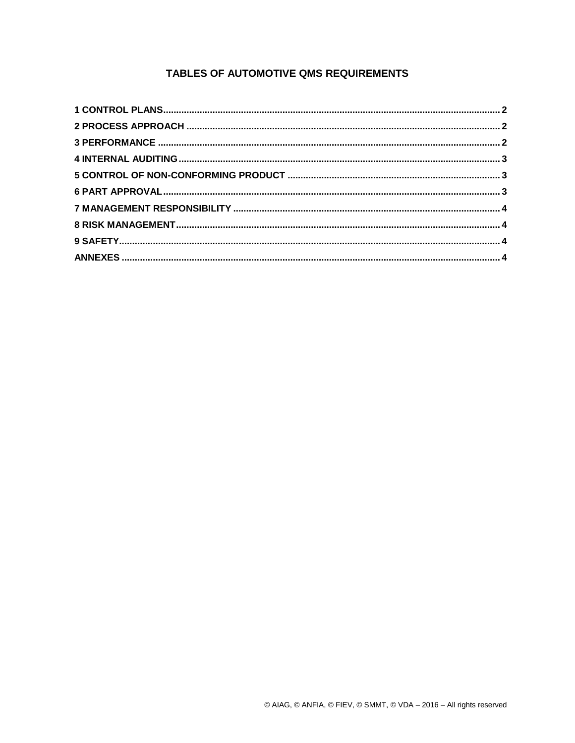### TABLES OF AUTOMOTIVE QMS REQUIREMENTS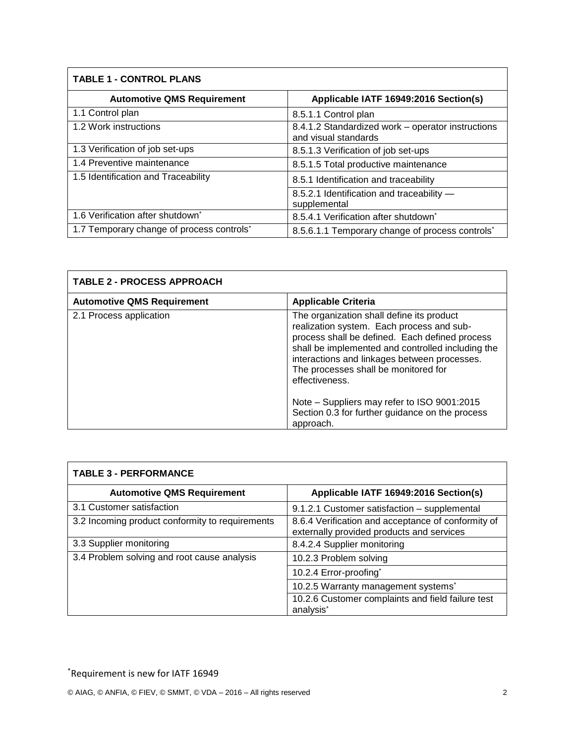## **TABLE 1 - CONTROL PLANS Automotive QMS Requirement Applicable IATF 16949:2016 Section(s)** 1.1 Control plan 8.5.1.1 Control plan 1.2 Work instructions 8.4.1.2 Standardized work – operator instructions and visual standards 1.3 Verification of job set-ups 8.5.1.3 Verification of job set-ups 1.4 Preventive maintenance 8.5.1.5 Total productive maintenance 1.5 Identification and Traceability 8.5.1 Identification and traceability 8.5.2.1 Identification and traceability —

| <b>TABLE 2 - PROCESS APPROACH</b> |                                                                                                                                                                                                                                                                                                         |
|-----------------------------------|---------------------------------------------------------------------------------------------------------------------------------------------------------------------------------------------------------------------------------------------------------------------------------------------------------|
| <b>Automotive QMS Requirement</b> | <b>Applicable Criteria</b>                                                                                                                                                                                                                                                                              |
| 2.1 Process application           | The organization shall define its product<br>realization system. Each process and sub-<br>process shall be defined. Each defined process<br>shall be implemented and controlled including the<br>interactions and linkages between processes.<br>The processes shall be monitored for<br>effectiveness. |
|                                   | Note - Suppliers may refer to ISO 9001:2015<br>Section 0.3 for further guidance on the process<br>approach.                                                                                                                                                                                             |

supplemental

8.5.4.1 Verification after shutdown<sup>\*</sup>

8.5.6.1.1 Temporary change of process controls<sup>\*</sup>

| <b>TABLE 3 - PERFORMANCE</b>                    |                                                                                                 |
|-------------------------------------------------|-------------------------------------------------------------------------------------------------|
| <b>Automotive QMS Requirement</b>               | Applicable IATF 16949:2016 Section(s)                                                           |
| 3.1 Customer satisfaction                       | 9.1.2.1 Customer satisfaction - supplemental                                                    |
| 3.2 Incoming product conformity to requirements | 8.6.4 Verification and acceptance of conformity of<br>externally provided products and services |
| 3.3 Supplier monitoring                         | 8.4.2.4 Supplier monitoring                                                                     |
| 3.4 Problem solving and root cause analysis     | 10.2.3 Problem solving                                                                          |
|                                                 | 10.2.4 Error-proofing*                                                                          |
|                                                 | 10.2.5 Warranty management systems*                                                             |
|                                                 | 10.2.6 Customer complaints and field failure test<br>analysis <sup>*</sup>                      |

1.6 Verification after shutdown\*

1.7 Temporary change of process controls<sup>\*</sup>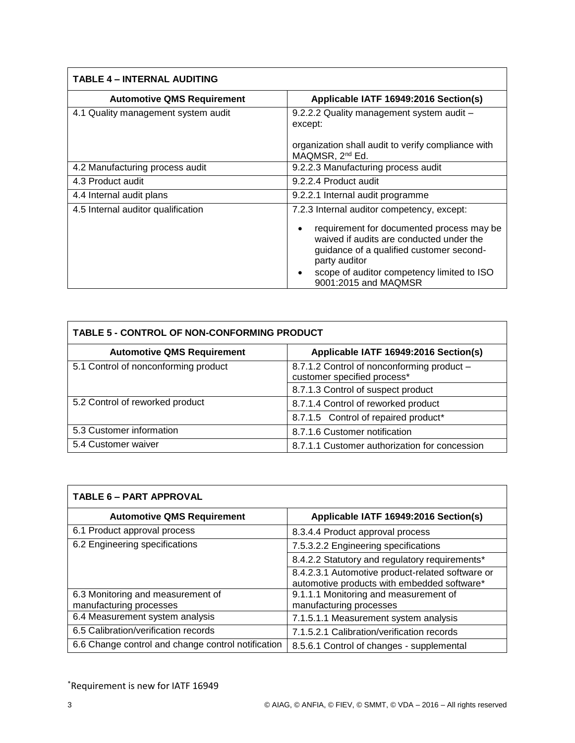| <b>TABLE 4 – INTERNAL AUDITING</b>  |                                                                                                                                                                                                               |  |
|-------------------------------------|---------------------------------------------------------------------------------------------------------------------------------------------------------------------------------------------------------------|--|
| <b>Automotive QMS Requirement</b>   | Applicable IATF 16949:2016 Section(s)                                                                                                                                                                         |  |
| 4.1 Quality management system audit | 9.2.2.2 Quality management system audit -<br>except:                                                                                                                                                          |  |
|                                     | organization shall audit to verify compliance with<br>MAQMSR, 2 <sup>nd</sup> Ed.                                                                                                                             |  |
| 4.2 Manufacturing process audit     | 9.2.2.3 Manufacturing process audit                                                                                                                                                                           |  |
| 4.3 Product audit                   | 9.2.2.4 Product audit                                                                                                                                                                                         |  |
| 4.4 Internal audit plans            | 9.2.2.1 Internal audit programme                                                                                                                                                                              |  |
| 4.5 Internal auditor qualification  | 7.2.3 Internal auditor competency, except:<br>requirement for documented process may be<br>$\bullet$<br>waived if audits are conducted under the<br>guidance of a qualified customer second-<br>party auditor |  |
|                                     | scope of auditor competency limited to ISO<br>9001:2015 and MAQMSR                                                                                                                                            |  |

| TABLE 5 - CONTROL OF NON-CONFORMING PRODUCT |                                                                           |  |
|---------------------------------------------|---------------------------------------------------------------------------|--|
| <b>Automotive QMS Requirement</b>           | Applicable IATF 16949:2016 Section(s)                                     |  |
| 5.1 Control of nonconforming product        | 8.7.1.2 Control of nonconforming product -<br>customer specified process* |  |
|                                             | 8.7.1.3 Control of suspect product                                        |  |
| 5.2 Control of reworked product             | 8.7.1.4 Control of reworked product                                       |  |
|                                             | 8.7.1.5 Control of repaired product*                                      |  |
| 5.3 Customer information                    | 8.7.1.6 Customer notification                                             |  |
| 5.4 Customer waiver                         | 8.7.1.1 Customer authorization for concession                             |  |

| <b>TABLE 6 - PART APPROVAL</b>                     |                                                                                                 |  |
|----------------------------------------------------|-------------------------------------------------------------------------------------------------|--|
| <b>Automotive QMS Requirement</b>                  | Applicable IATF 16949:2016 Section(s)                                                           |  |
| 6.1 Product approval process                       | 8.3.4.4 Product approval process                                                                |  |
| 6.2 Engineering specifications                     | 7.5.3.2.2 Engineering specifications                                                            |  |
|                                                    | 8.4.2.2 Statutory and regulatory requirements*                                                  |  |
|                                                    | 8.4.2.3.1 Automotive product-related software or<br>automotive products with embedded software* |  |
| 6.3 Monitoring and measurement of                  | 9.1.1.1 Monitoring and measurement of                                                           |  |
| manufacturing processes                            | manufacturing processes                                                                         |  |
| 6.4 Measurement system analysis                    | 7.1.5.1.1 Measurement system analysis                                                           |  |
| 6.5 Calibration/verification records               | 7.1.5.2.1 Calibration/verification records                                                      |  |
| 6.6 Change control and change control notification | 8.5.6.1 Control of changes - supplemental                                                       |  |

\*Requirement is new for IATF 16949